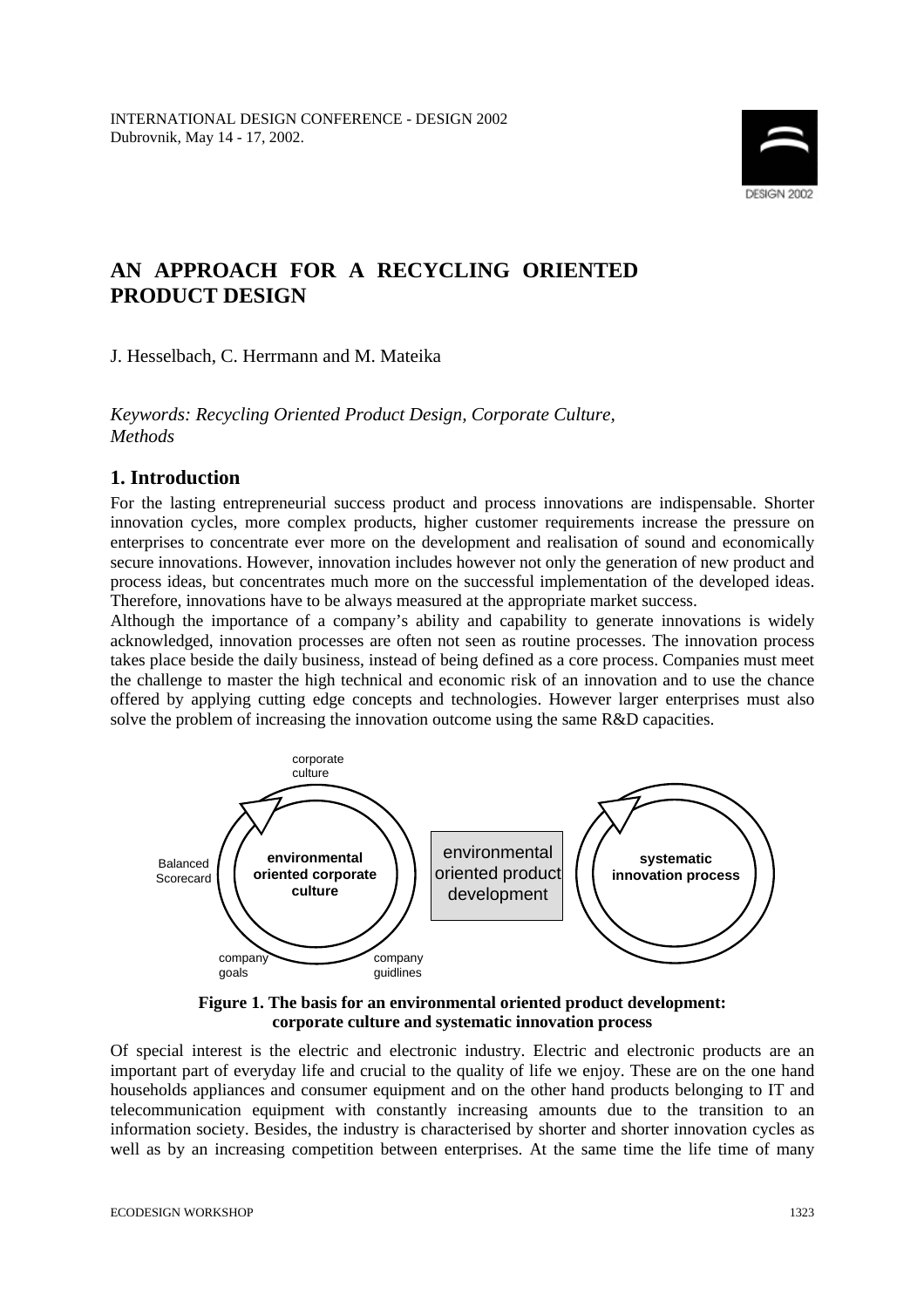

# **AN APPROACH FOR A RECYCLING ORIENTED PRODUCT DESIGN**

J. Hesselbach, C. Herrmann and M. Mateika

*Keywords: Recycling Oriented Product Design, Corporate Culture, Methods*

### **1. Introduction**

For the lasting entrepreneurial success product and process innovations are indispensable. Shorter innovation cycles, more complex products, higher customer requirements increase the pressure on enterprises to concentrate ever more on the development and realisation of sound and economically secure innovations. However, innovation includes however not only the generation of new product and process ideas, but concentrates much more on the successful implementation of the developed ideas. Therefore, innovations have to be always measured at the appropriate market success.

Although the importance of a company's ability and capability to generate innovations is widely acknowledged, innovation processes are often not seen as routine processes. The innovation process takes place beside the daily business, instead of being defined as a core process. Companies must meet the challenge to master the high technical and economic risk of an innovation and to use the chance offered by applying cutting edge concepts and technologies. However larger enterprises must also solve the problem of increasing the innovation outcome using the same R&D capacities.



#### **Figure 1. The basis for an environmental oriented product development: corporate culture and systematic innovation process**

Of special interest is the electric and electronic industry. Electric and electronic products are an important part of everyday life and crucial to the quality of life we enjoy. These are on the one hand households appliances and consumer equipment and on the other hand products belonging to IT and telecommunication equipment with constantly increasing amounts due to the transition to an information society. Besides, the industry is characterised by shorter and shorter innovation cycles as well as by an increasing competition between enterprises. At the same time the life time of many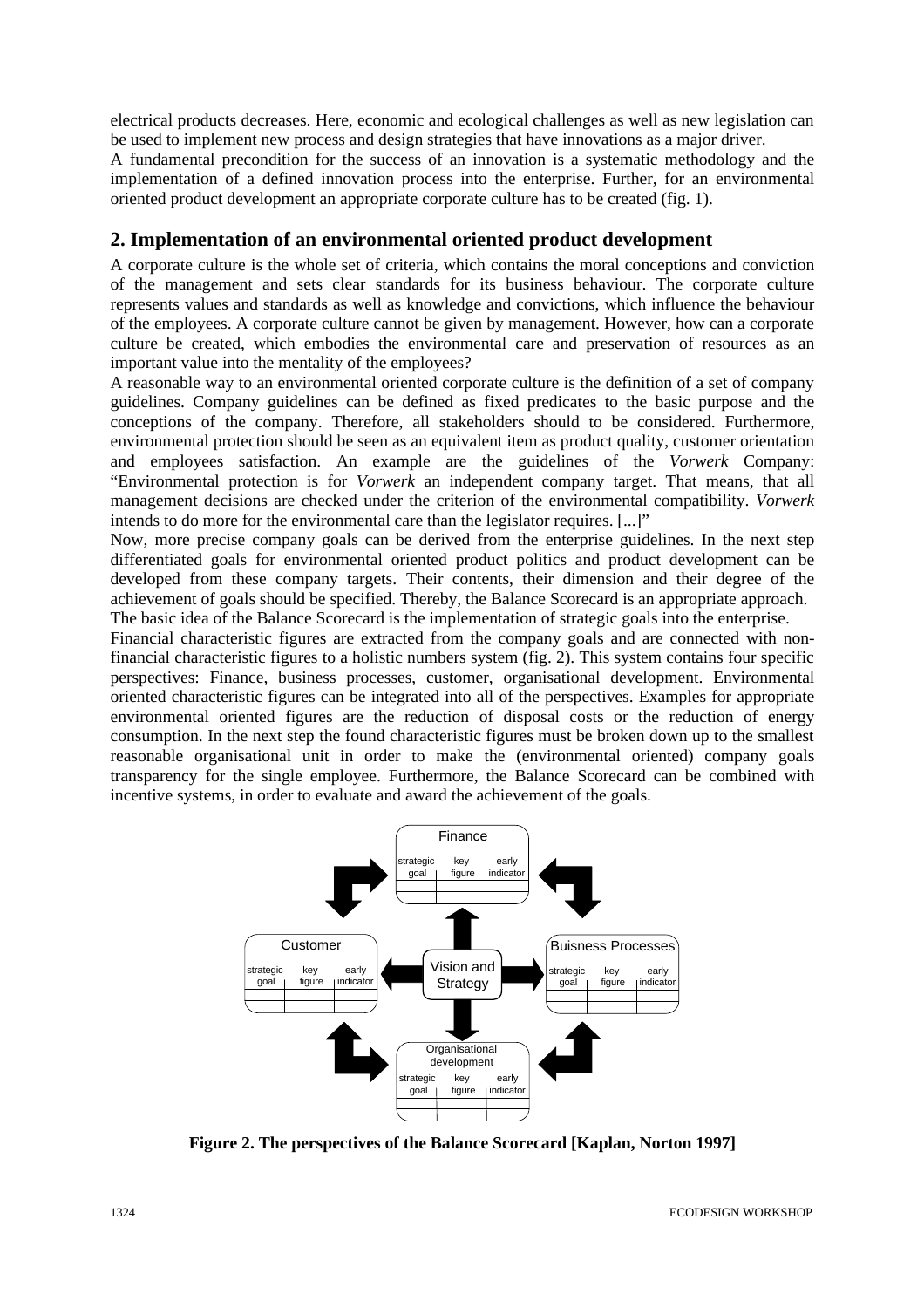electrical products decreases. Here, economic and ecological challenges as well as new legislation can be used to implement new process and design strategies that have innovations as a major driver.

A fundamental precondition for the success of an innovation is a systematic methodology and the implementation of a defined innovation process into the enterprise. Further, for an environmental oriented product development an appropriate corporate culture has to be created (fig. 1).

### **2. Implementation of an environmental oriented product development**

A corporate culture is the whole set of criteria, which contains the moral conceptions and conviction of the management and sets clear standards for its business behaviour. The corporate culture represents values and standards as well as knowledge and convictions, which influence the behaviour of the employees. A corporate culture cannot be given by management. However, how can a corporate culture be created, which embodies the environmental care and preservation of resources as an important value into the mentality of the employees?

A reasonable way to an environmental oriented corporate culture is the definition of a set of company guidelines. Company guidelines can be defined as fixed predicates to the basic purpose and the conceptions of the company. Therefore, all stakeholders should to be considered. Furthermore, environmental protection should be seen as an equivalent item as product quality, customer orientation and employees satisfaction. An example are the guidelines of the *Vorwerk* Company: "Environmental protection is for *Vorwerk* an independent company target. That means, that all management decisions are checked under the criterion of the environmental compatibility. *Vorwerk* intends to do more for the environmental care than the legislator requires. [...]"

Now, more precise company goals can be derived from the enterprise guidelines. In the next step differentiated goals for environmental oriented product politics and product development can be developed from these company targets. Their contents, their dimension and their degree of the achievement of goals should be specified. Thereby, the Balance Scorecard is an appropriate approach. The basic idea of the Balance Scorecard is the implementation of strategic goals into the enterprise.

Financial characteristic figures are extracted from the company goals and are connected with nonfinancial characteristic figures to a holistic numbers system (fig. 2). This system contains four specific perspectives: Finance, business processes, customer, organisational development. Environmental oriented characteristic figures can be integrated into all of the perspectives. Examples for appropriate environmental oriented figures are the reduction of disposal costs or the reduction of energy consumption. In the next step the found characteristic figures must be broken down up to the smallest reasonable organisational unit in order to make the (environmental oriented) company goals transparency for the single employee. Furthermore, the Balance Scorecard can be combined with incentive systems, in order to evaluate and award the achievement of the goals.



**Figure 2. The perspectives of the Balance Scorecard [Kaplan, Norton 1997]**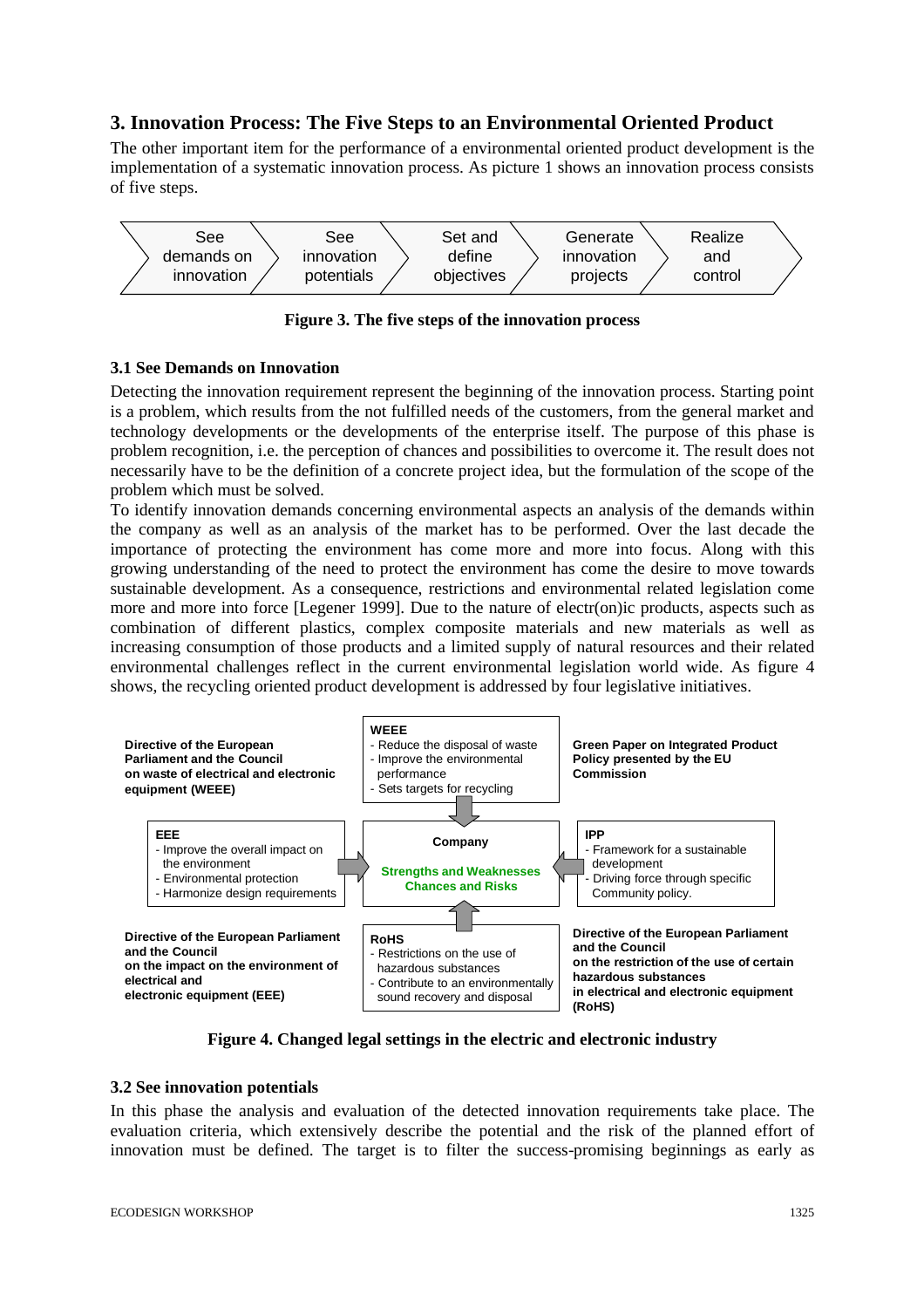# **3. Innovation Process: The Five Steps to an Environmental Oriented Product**

The other important item for the performance of a environmental oriented product development is the implementation of a systematic innovation process. As picture 1 shows an innovation process consists of five steps.



**Figure 3. The five steps of the innovation process**

### **3.1 See Demands on Innovation**

Detecting the innovation requirement represent the beginning of the innovation process. Starting point is a problem, which results from the not fulfilled needs of the customers, from the general market and technology developments or the developments of the enterprise itself. The purpose of this phase is problem recognition, i.e. the perception of chances and possibilities to overcome it. The result does not necessarily have to be the definition of a concrete project idea, but the formulation of the scope of the problem which must be solved.

To identify innovation demands concerning environmental aspects an analysis of the demands within the company as well as an analysis of the market has to be performed. Over the last decade the importance of protecting the environment has come more and more into focus. Along with this growing understanding of the need to protect the environment has come the desire to move towards sustainable development. As a consequence, restrictions and environmental related legislation come more and more into force [Legener 1999]. Due to the nature of electr(on)ic products, aspects such as combination of different plastics, complex composite materials and new materials as well as increasing consumption of those products and a limited supply of natural resources and their related environmental challenges reflect in the current environmental legislation world wide. As figure 4 shows, the recycling oriented product development is addressed by four legislative initiatives.



**Figure 4. Changed legal settings in the electric and electronic industry**

#### **3.2 See innovation potentials**

In this phase the analysis and evaluation of the detected innovation requirements take place. The evaluation criteria, which extensively describe the potential and the risk of the planned effort of innovation must be defined. The target is to filter the success-promising beginnings as early as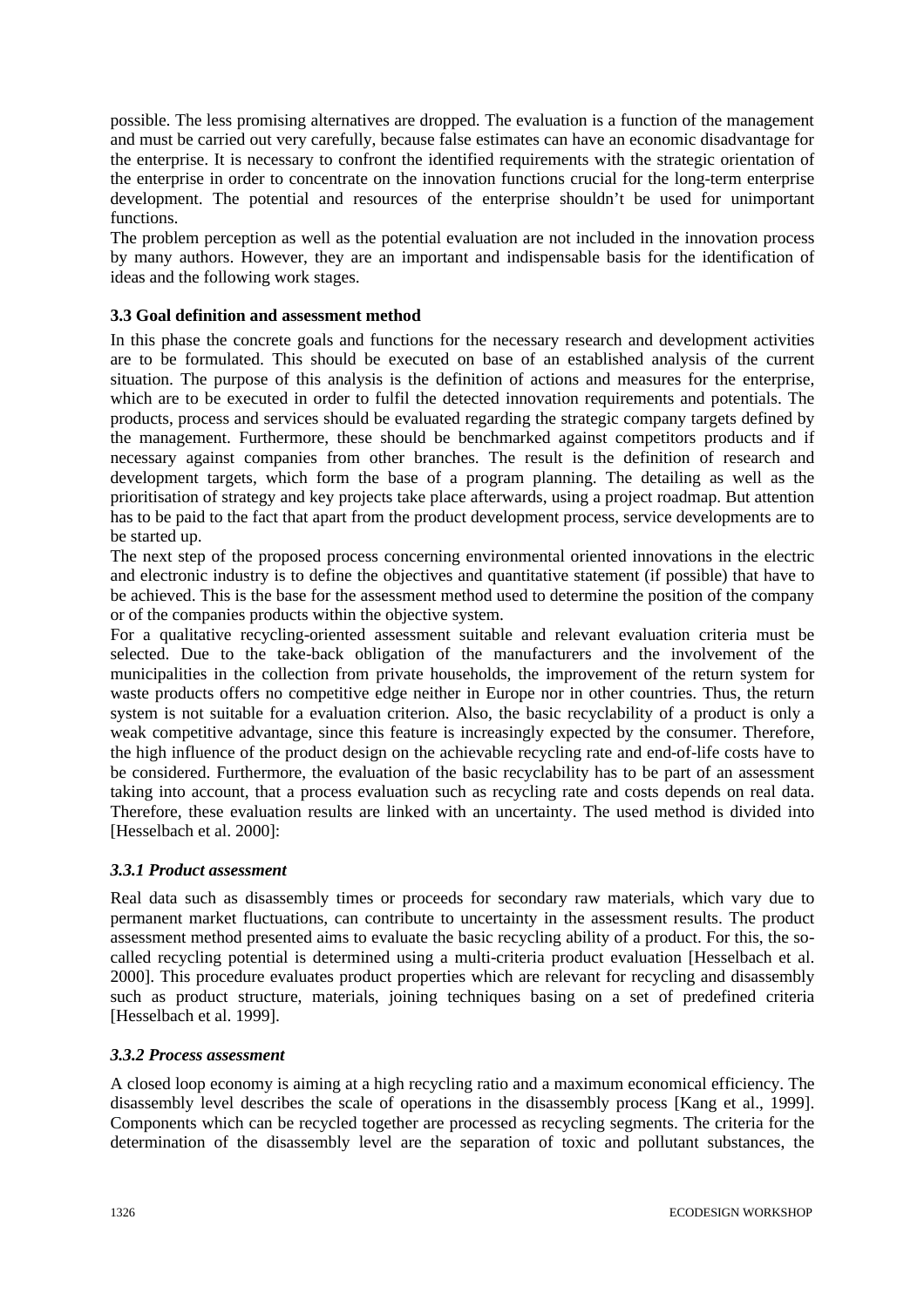possible. The less promising alternatives are dropped. The evaluation is a function of the management and must be carried out very carefully, because false estimates can have an economic disadvantage for the enterprise. It is necessary to confront the identified requirements with the strategic orientation of the enterprise in order to concentrate on the innovation functions crucial for the long-term enterprise development. The potential and resources of the enterprise shouldn't be used for unimportant functions.

The problem perception as well as the potential evaluation are not included in the innovation process by many authors. However, they are an important and indispensable basis for the identification of ideas and the following work stages.

### **3.3 Goal definition and assessment method**

In this phase the concrete goals and functions for the necessary research and development activities are to be formulated. This should be executed on base of an established analysis of the current situation. The purpose of this analysis is the definition of actions and measures for the enterprise, which are to be executed in order to fulfil the detected innovation requirements and potentials. The products, process and services should be evaluated regarding the strategic company targets defined by the management. Furthermore, these should be benchmarked against competitors products and if necessary against companies from other branches. The result is the definition of research and development targets, which form the base of a program planning. The detailing as well as the prioritisation of strategy and key projects take place afterwards, using a project roadmap. But attention has to be paid to the fact that apart from the product development process, service developments are to be started up.

The next step of the proposed process concerning environmental oriented innovations in the electric and electronic industry is to define the objectives and quantitative statement (if possible) that have to be achieved. This is the base for the assessment method used to determine the position of the company or of the companies products within the objective system.

For a qualitative recycling-oriented assessment suitable and relevant evaluation criteria must be selected. Due to the take-back obligation of the manufacturers and the involvement of the municipalities in the collection from private households, the improvement of the return system for waste products offers no competitive edge neither in Europe nor in other countries. Thus, the return system is not suitable for a evaluation criterion. Also, the basic recyclability of a product is only a weak competitive advantage, since this feature is increasingly expected by the consumer. Therefore, the high influence of the product design on the achievable recycling rate and end-of-life costs have to be considered. Furthermore, the evaluation of the basic recyclability has to be part of an assessment taking into account, that a process evaluation such as recycling rate and costs depends on real data. Therefore, these evaluation results are linked with an uncertainty. The used method is divided into [Hesselbach et al. 2000]:

#### *3.3.1 Product assessment*

Real data such as disassembly times or proceeds for secondary raw materials, which vary due to permanent market fluctuations, can contribute to uncertainty in the assessment results. The product assessment method presented aims to evaluate the basic recycling ability of a product. For this, the socalled recycling potential is determined using a multi-criteria product evaluation [Hesselbach et al. 2000]. This procedure evaluates product properties which are relevant for recycling and disassembly such as product structure, materials, joining techniques basing on a set of predefined criteria [Hesselbach et al. 1999].

#### *3.3.2 Process assessment*

A closed loop economy is aiming at a high recycling ratio and a maximum economical efficiency. The disassembly level describes the scale of operations in the disassembly process [Kang et al., 1999]. Components which can be recycled together are processed as recycling segments. The criteria for the determination of the disassembly level are the separation of toxic and pollutant substances, the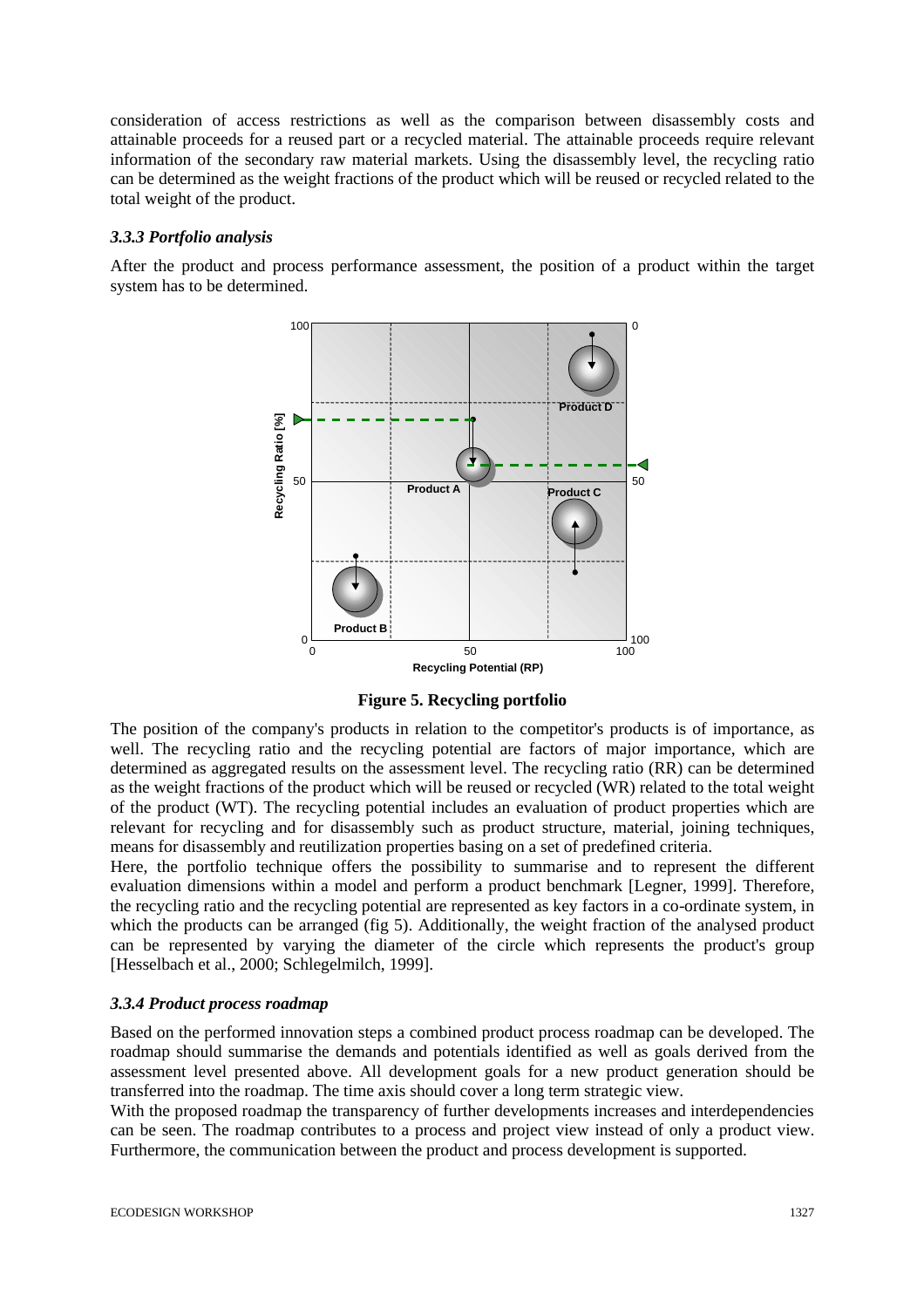consideration of access restrictions as well as the comparison between disassembly costs and attainable proceeds for a reused part or a recycled material. The attainable proceeds require relevant information of the secondary raw material markets. Using the disassembly level, the recycling ratio can be determined as the weight fractions of the product which will be reused or recycled related to the total weight of the product.

#### *3.3.3 Portfolio analysis*

After the product and process performance assessment, the position of a product within the target system has to be determined.



**Figure 5. Recycling portfolio**

The position of the company's products in relation to the competitor's products is of importance, as well. The recycling ratio and the recycling potential are factors of major importance, which are determined as aggregated results on the assessment level. The recycling ratio (RR) can be determined as the weight fractions of the product which will be reused or recycled (WR) related to the total weight of the product (WT). The recycling potential includes an evaluation of product properties which are relevant for recycling and for disassembly such as product structure, material, joining techniques, means for disassembly and reutilization properties basing on a set of predefined criteria.

Here, the portfolio technique offers the possibility to summarise and to represent the different evaluation dimensions within a model and perform a product benchmark [Legner, 1999]. Therefore, the recycling ratio and the recycling potential are represented as key factors in a co-ordinate system, in which the products can be arranged (fig 5). Additionally, the weight fraction of the analysed product can be represented by varying the diameter of the circle which represents the product's group [Hesselbach et al., 2000; Schlegelmilch, 1999].

#### *3.3.4 Product process roadmap*

Based on the performed innovation steps a combined product process roadmap can be developed. The roadmap should summarise the demands and potentials identified as well as goals derived from the assessment level presented above. All development goals for a new product generation should be transferred into the roadmap. The time axis should cover a long term strategic view.

With the proposed roadmap the transparency of further developments increases and interdependencies can be seen. The roadmap contributes to a process and project view instead of only a product view. Furthermore, the communication between the product and process development is supported.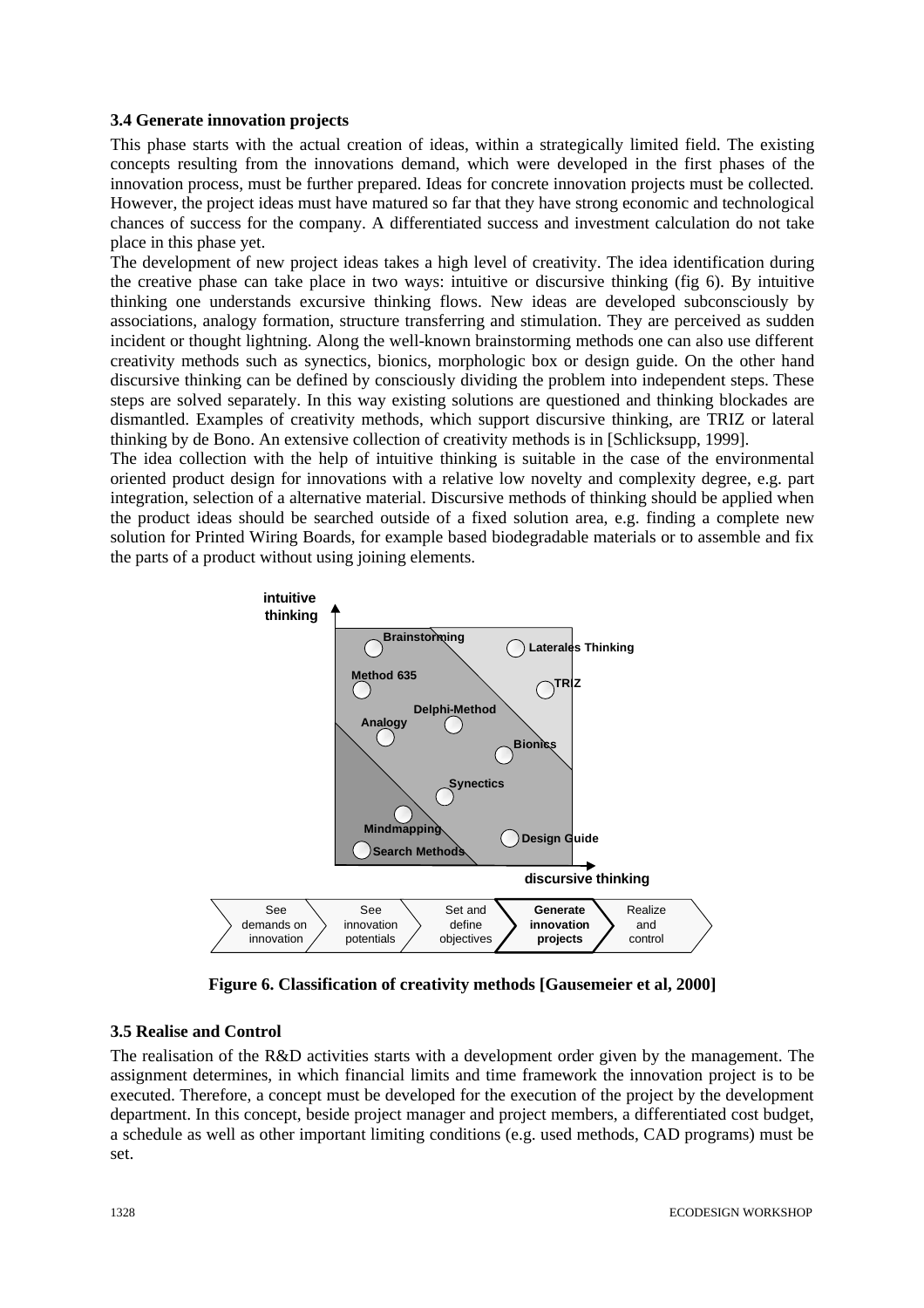#### **3.4 Generate innovation projects**

This phase starts with the actual creation of ideas, within a strategically limited field. The existing concepts resulting from the innovations demand, which were developed in the first phases of the innovation process, must be further prepared. Ideas for concrete innovation projects must be collected. However, the project ideas must have matured so far that they have strong economic and technological chances of success for the company. A differentiated success and investment calculation do not take place in this phase yet.

The development of new project ideas takes a high level of creativity. The idea identification during the creative phase can take place in two ways: intuitive or discursive thinking (fig 6). By intuitive thinking one understands excursive thinking flows. New ideas are developed subconsciously by associations, analogy formation, structure transferring and stimulation. They are perceived as sudden incident or thought lightning. Along the well-known brainstorming methods one can also use different creativity methods such as synectics, bionics, morphologic box or design guide. On the other hand discursive thinking can be defined by consciously dividing the problem into independent steps. These steps are solved separately. In this way existing solutions are questioned and thinking blockades are dismantled. Examples of creativity methods, which support discursive thinking, are TRIZ or lateral thinking by de Bono. An extensive collection of creativity methods is in [Schlicksupp, 1999].

The idea collection with the help of intuitive thinking is suitable in the case of the environmental oriented product design for innovations with a relative low novelty and complexity degree, e.g. part integration, selection of a alternative material. Discursive methods of thinking should be applied when the product ideas should be searched outside of a fixed solution area, e.g. finding a complete new solution for Printed Wiring Boards, for example based biodegradable materials or to assemble and fix the parts of a product without using joining elements.



**Figure 6. Classification of creativity methods [Gausemeier et al, 2000]**

#### **3.5 Realise and Control**

The realisation of the R&D activities starts with a development order given by the management. The assignment determines, in which financial limits and time framework the innovation project is to be executed. Therefore, a concept must be developed for the execution of the project by the development department. In this concept, beside project manager and project members, a differentiated cost budget, a schedule as well as other important limiting conditions (e.g. used methods, CAD programs) must be set.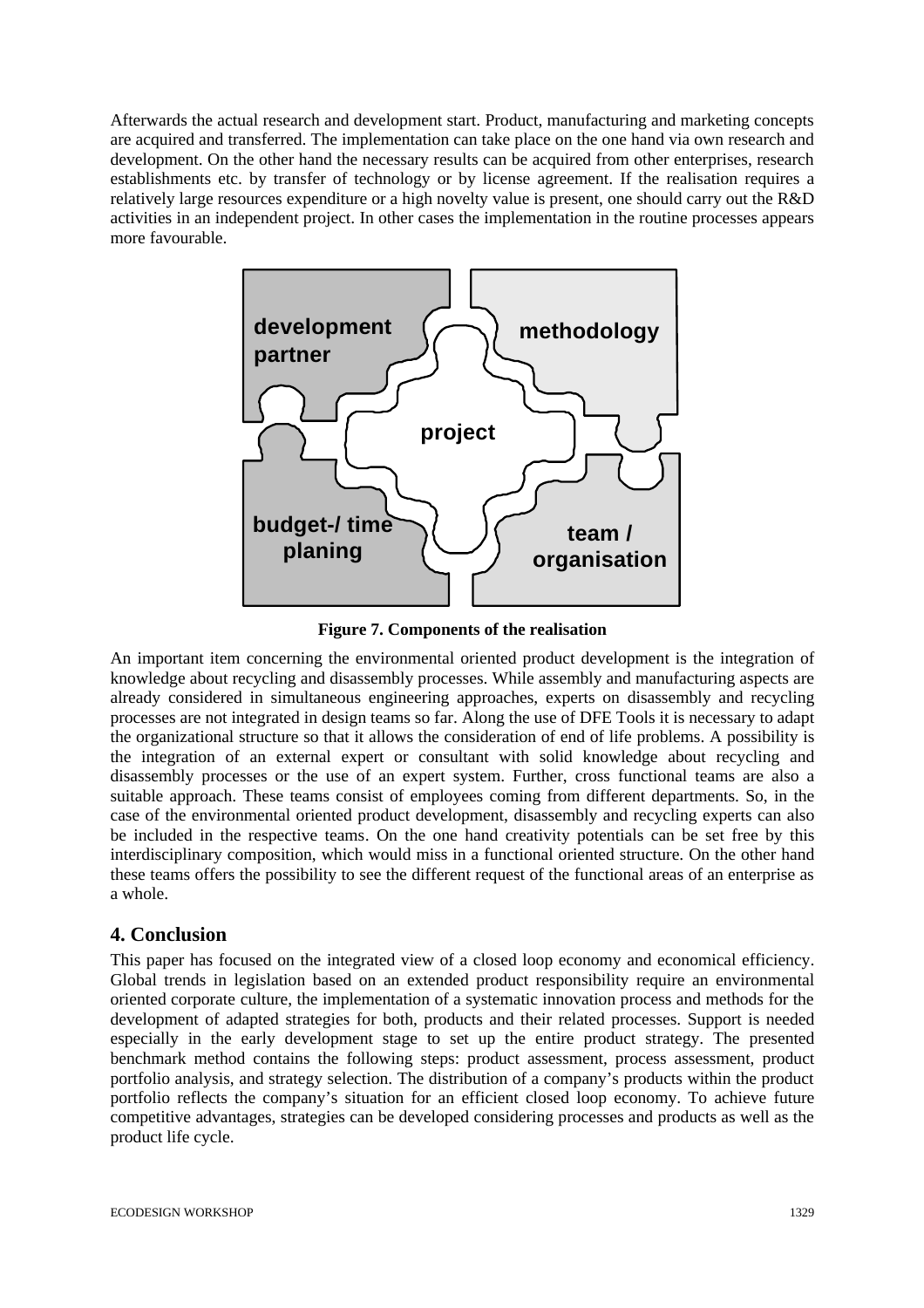Afterwards the actual research and development start. Product, manufacturing and marketing concepts are acquired and transferred. The implementation can take place on the one hand via own research and development. On the other hand the necessary results can be acquired from other enterprises, research establishments etc. by transfer of technology or by license agreement. If the realisation requires a relatively large resources expenditure or a high novelty value is present, one should carry out the R&D activities in an independent project. In other cases the implementation in the routine processes appears more favourable.



**Figure 7. Components of the realisation**

An important item concerning the environmental oriented product development is the integration of knowledge about recycling and disassembly processes. While assembly and manufacturing aspects are already considered in simultaneous engineering approaches, experts on disassembly and recycling processes are not integrated in design teams so far. Along the use of DFE Tools it is necessary to adapt the organizational structure so that it allows the consideration of end of life problems. A possibility is the integration of an external expert or consultant with solid knowledge about recycling and disassembly processes or the use of an expert system. Further, cross functional teams are also a suitable approach. These teams consist of employees coming from different departments. So, in the case of the environmental oriented product development, disassembly and recycling experts can also be included in the respective teams. On the one hand creativity potentials can be set free by this interdisciplinary composition, which would miss in a functional oriented structure. On the other hand these teams offers the possibility to see the different request of the functional areas of an enterprise as a whole.

# **4. Conclusion**

This paper has focused on the integrated view of a closed loop economy and economical efficiency. Global trends in legislation based on an extended product responsibility require an environmental oriented corporate culture, the implementation of a systematic innovation process and methods for the development of adapted strategies for both, products and their related processes. Support is needed especially in the early development stage to set up the entire product strategy. The presented benchmark method contains the following steps: product assessment, process assessment, product portfolio analysis, and strategy selection. The distribution of a company's products within the product portfolio reflects the company's situation for an efficient closed loop economy. To achieve future competitive advantages, strategies can be developed considering processes and products as well as the product life cycle.